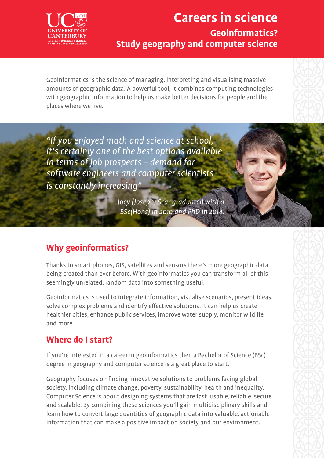

## **Careers in science Geoinformatics? Study geography and computer science**

Geoinformatics is the science of managing, interpreting and visualising massive amounts of geographic data. A powerful tool, it combines computing technologies with geographic information to help us make better decisions for people and the places where we live.

"If you enjoyed math and science at school, it's certainly one of the best options available in terms of job prospects – demand for software engineers and computer scientists is constantly increasing"

> – Joey (Joseph) Scar graduated with a BSc(Hons) in 2010 and PhD in 2014.

### **Why geoinformatics?**

Thanks to smart phones, GIS, satellites and sensors there's more geographic data being created than ever before. With geoinformatics you can transform all of this seemingly unrelated, random data into something useful.

Geoinformatics is used to integrate information, visualise scenarios, present ideas, solve complex problems and identify effective solutions. It can help us create healthier cities, enhance public services, improve water supply, monitor wildlife and more.

#### **Where do I start?**

If you're interested in a career in geoinformatics then a Bachelor of Science (BSc) degree in geography and computer science is a great place to start.

Geography focuses on finding innovative solutions to problems facing global society, including climate change, poverty, sustainability, health and inequality. Computer Science is about designing systems that are fast, usable, reliable, secure and scalable. By combining these sciences you'll gain multidisciplinary skills and learn how to convert large quantities of geographic data into valuable, actionable information that can make a positive impact on society and our environment.